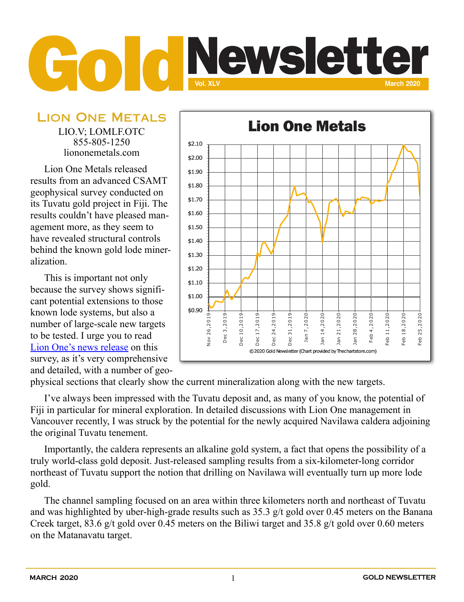## **Vol. XLV Mewsletter**

Lion One Metals LIO.V; LOMLF.OTC 855-805-1250

liononemetals.com

Lion One Metals released results from an advanced CSAMT geophysical survey conducted on its Tuvatu gold project in Fiji. The results couldn't have pleased management more, as they seem to have revealed structural controls behind the known gold lode mineralization.

This is important not only because the survey shows significant potential extensions to those known lode systems, but also a number of large-scale new targets to be tested. I urge you to read [Lion One's news release](https://liononemetals.com/2020/02/robust-structural-network-discovered-underlying-lion-ones-tuvatu-alkaline-gold-project/) on this survey, as it's very comprehensive and detailed, with a number of geo-



physical sections that clearly show the current mineralization along with the new targets.

I've always been impressed with the Tuvatu deposit and, as many of you know, the potential of Fiji in particular for mineral exploration. In detailed discussions with Lion One management in Vancouver recently, I was struck by the potential for the newly acquired Navilawa caldera adjoining the original Tuvatu tenement.

Importantly, the caldera represents an alkaline gold system, a fact that opens the possibility of a truly world-class gold deposit. Just-released sampling results from a six-kilometer-long corridor northeast of Tuvatu support the notion that drilling on Navilawa will eventually turn up more lode gold.

The channel sampling focused on an area within three kilometers north and northeast of Tuvatu and was highlighted by uber-high-grade results such as 35.3 g/t gold over 0.45 meters on the Banana Creek target, 83.6 g/t gold over 0.45 meters on the Biliwi target and 35.8 g/t gold over 0.60 meters on the Matanavatu target.